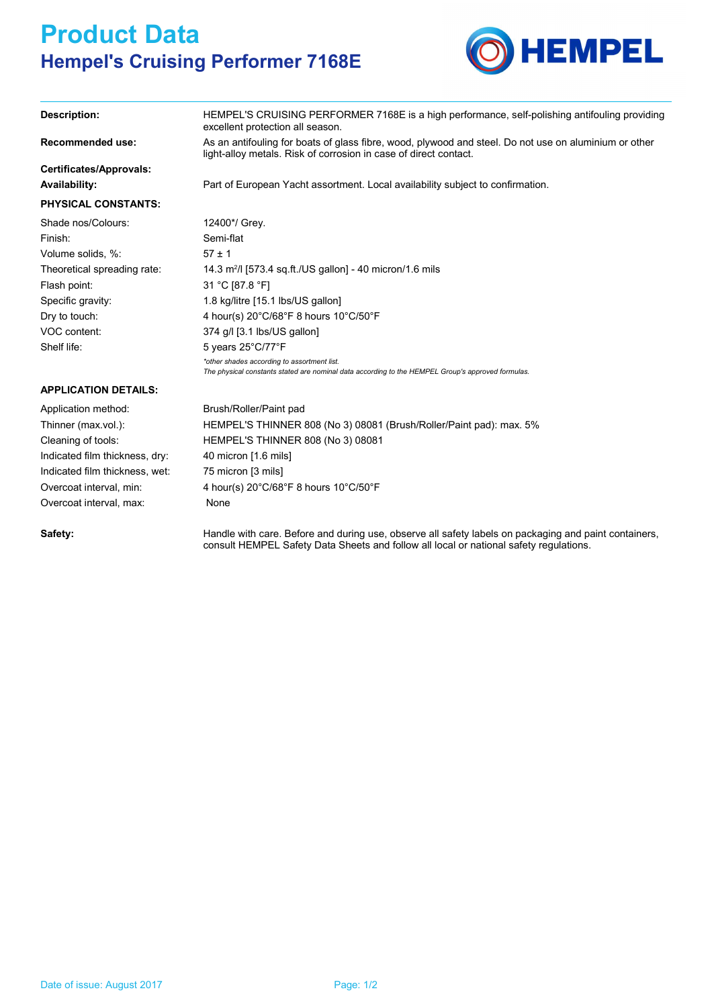## **Product Data Hempel's Cruising Performer 7168E**



| Description:                | HEMPEL'S CRUISING PERFORMER 7168E is a high performance, self-polishing antifouling providing<br>excellent protection all season.                                         |
|-----------------------------|---------------------------------------------------------------------------------------------------------------------------------------------------------------------------|
| <b>Recommended use:</b>     | As an antifouling for boats of glass fibre, wood, plywood and steel. Do not use on aluminium or other<br>light-alloy metals. Risk of corrosion in case of direct contact. |
| Certificates/Approvals:     |                                                                                                                                                                           |
| Availability:               | Part of European Yacht assortment. Local availability subject to confirmation.                                                                                            |
| <b>PHYSICAL CONSTANTS:</b>  |                                                                                                                                                                           |
| Shade nos/Colours:          | 12400*/ Grey.                                                                                                                                                             |
| Finish:                     | Semi-flat                                                                                                                                                                 |
| Volume solids, %:           | $57 \pm 1$                                                                                                                                                                |
| Theoretical spreading rate: | 14.3 $m^2$ / [573.4 sq.ft./US gallon] - 40 micron/1.6 mils                                                                                                                |
| Flash point.                | 31 °C [87.8 °F]                                                                                                                                                           |
| Specific gravity:           | 1.8 kg/litre [15.1 lbs/US gallon]                                                                                                                                         |
| Dry to touch:               | 4 hour(s) $20^{\circ}$ C/68 $^{\circ}$ F 8 hours 10 $^{\circ}$ C/50 $^{\circ}$ F                                                                                          |
| VOC content:                | 374 g/l [3.1 lbs/US gallon]                                                                                                                                               |
| Shelf life:                 | 5 years $25^{\circ}$ C/77 $^{\circ}$ F                                                                                                                                    |

*The physical constants stated are nominal data according to the HEMPEL Group's approved formulas.*

## **APPLICATION DETAILS:**

| Brush/Roller/Paint pad                                                           |
|----------------------------------------------------------------------------------|
| HEMPEL'S THINNER 808 (No 3) 08081 (Brush/Roller/Paint pad): max. 5%              |
| <b>HEMPEL'S THINNER 808 (No 3) 08081</b>                                         |
| 40 micron [1.6 mils]                                                             |
| 75 micron [3 mils]                                                               |
| 4 hour(s) $20^{\circ}$ C/68 $^{\circ}$ F 8 hours 10 $^{\circ}$ C/50 $^{\circ}$ F |
| None                                                                             |
|                                                                                  |
|                                                                                  |

- *\*other shades according to assortment list.*

Safety: **Example 20 Handle with care. Before and during use, observe all safety labels on packaging and paint containers,** consult HEMPEL Safety Data Sheets and follow all local or national safety regulations.